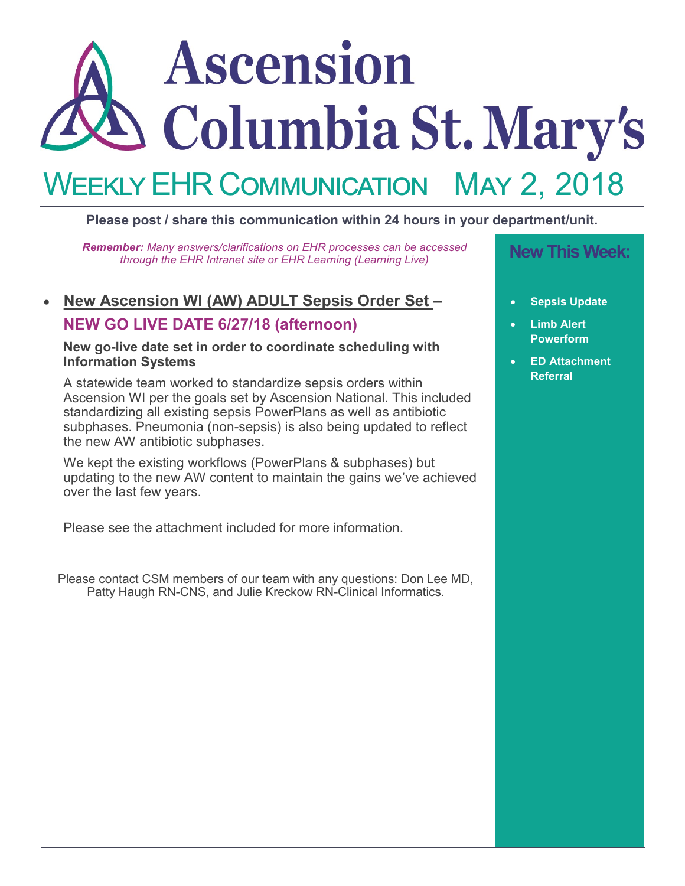# Ascension Columbia St. Mary's WEEKLY EHR COMMUNICATION May 2, 2018

## **Please post / share this communication within 24 hours in your department/unit.**

**New This Week:** *Remember: Many answers/clarifications on EHR processes can be accessed through the EHR Intranet site or EHR Learning (Learning Live)*

# • **New Ascension WI (AW) ADULT Sepsis Order Set –**

# **NEW GO LIVE DATE 6/27/18 (afternoon)**

### **New go-live date set in order to coordinate scheduling with Information Systems**

A statewide team worked to standardize sepsis orders within Ascension WI per the goals set by Ascension National. This included standardizing all existing sepsis PowerPlans as well as antibiotic subphases. Pneumonia (non-sepsis) is also being updated to reflect the new AW antibiotic subphases.

We kept the existing workflows (PowerPlans & subphases) but updating to the new AW content to maintain the gains we've achieved over the last few years.

Please see the attachment included for more information.

Please contact CSM members of our team with any questions: Don Lee MD, Patty Haugh RN-CNS, and Julie Kreckow RN-Clinical Informatics.

- **Sepsis Update**
- **Limb Alert Powerform**
- **ED Attachment Referral**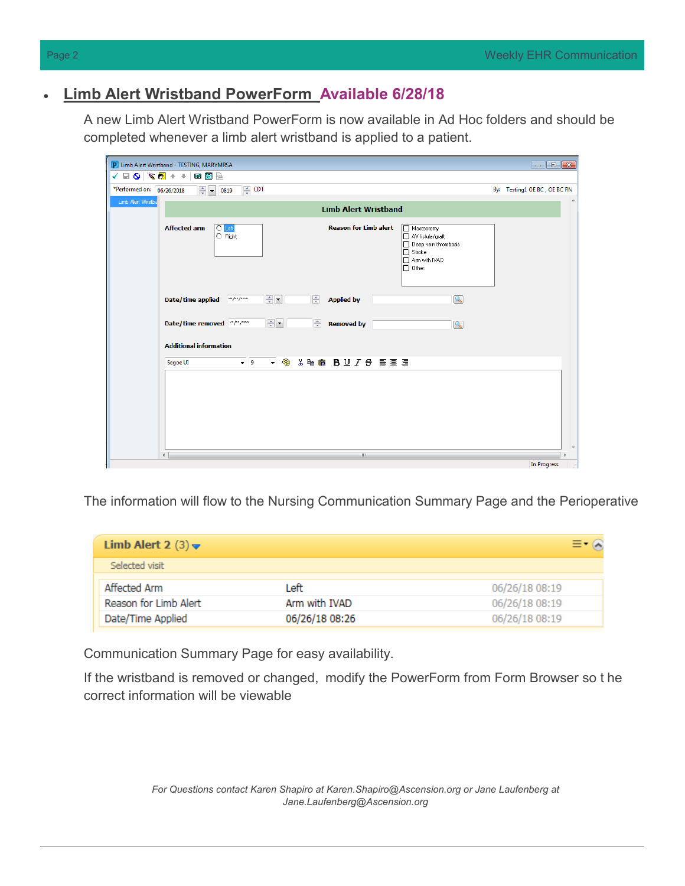# • **Limb Alert Wristband PowerForm Available 6/28/18**

A new Limb Alert Wristband PowerForm is now available in Ad Hoc folders and should be completed whenever a limb alert wristband is applied to a patient.

|                           | P Limb Alert Wristband - TESTING, MARYMRSA                                                                                                                                                                                   | $\Box$                       |
|---------------------------|------------------------------------------------------------------------------------------------------------------------------------------------------------------------------------------------------------------------------|------------------------------|
|                           |                                                                                                                                                                                                                              |                              |
| *Performed on: 06/26/2018 | $\triangleq$ CDT<br>$\frac{1}{\sqrt{2}}$<br>0819                                                                                                                                                                             | By: Testing1 OE BC, OE BC RN |
| Limb Alert Wristba        |                                                                                                                                                                                                                              |                              |
|                           | <b>Limb Alert Wristband</b>                                                                                                                                                                                                  |                              |
|                           | $\overline{O}$ Left<br><b>Reason for Limb alert</b><br><b>Affected arm</b><br>Mastectomy<br>$\circ$ Right<br>AV fistula/graft<br>Deep vein thrombosis<br>$\Box$ Stroke<br>T Arm with IVAD<br>$\square$ Other:                |                              |
|                           | $\Rightarrow$ $\bullet$<br>$\mathbb{Q}$<br>후<br>$x \times y \times z \times x \times x$<br>Date/time applied<br><b>Applied by</b><br>$\Rightarrow$<br>츷<br>Date/time removed **/**/****<br><b>Removed by</b><br>$\mathbb{Q}$ |                              |
|                           | <b>Additional information</b><br>- 9<br><b>XDO BU/S EEE</b><br>$-9$<br>Segoe UI                                                                                                                                              |                              |
|                           |                                                                                                                                                                                                                              |                              |
|                           | $\overline{a}$<br>m.                                                                                                                                                                                                         |                              |
|                           |                                                                                                                                                                                                                              | In Progress                  |

The information will flow to the Nursing Communication Summary Page and the Perioperative

| Limb Alert 2 $(3)$ $\blacktriangleright$ |                |                |
|------------------------------------------|----------------|----------------|
| Selected visit                           |                |                |
| Affected Arm                             | l eft.         | 06/26/18 08:19 |
| Reason for Limb Alert                    | Arm with IVAD  | 06/26/18 08:19 |
| Date/Time Applied                        | 06/26/18 08:26 | 06/26/18 08:19 |

Communication Summary Page for easy availability.

If the wristband is removed or changed, modify the PowerForm from Form Browser so t he correct information will be viewable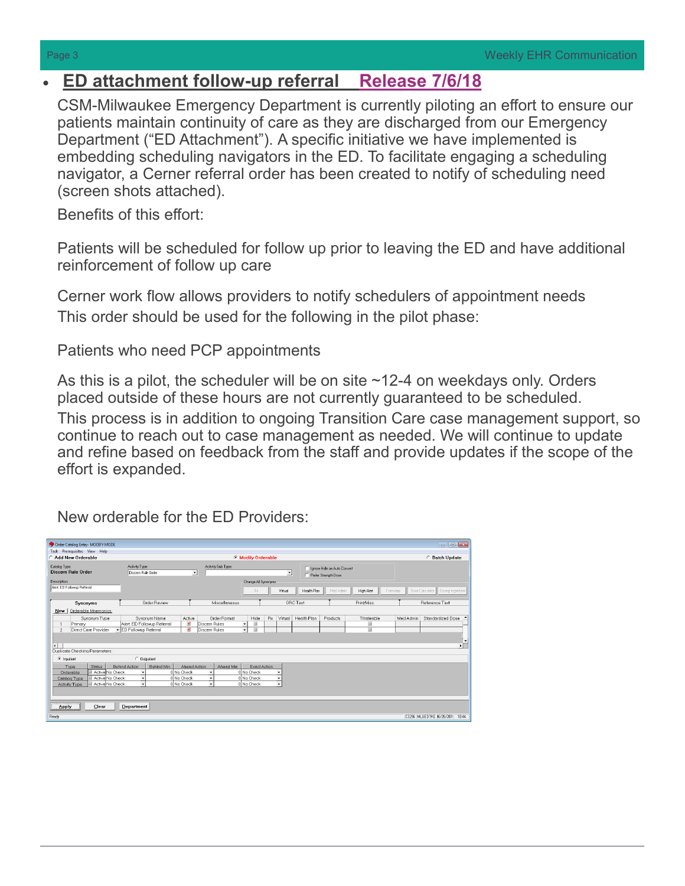# • **ED attachment follow-up referral Release 7/6/18**

CSM-Milwaukee Emergency Department is currently piloting an effort to ensure our patients maintain continuity of care as they are discharged from our Emergency Department ("ED Attachment"). A specific initiative we have implemented is embedding scheduling navigators in the ED. To facilitate engaging a scheduling navigator, a Cerner referral order has been created to notify of scheduling need (screen shots attached).

Benefits of this effort:

Patients will be scheduled for follow up prior to leaving the ED and have additional reinforcement of follow up care

Cerner work flow allows providers to notify schedulers of appointment needs This order should be used for the following in the pilot phase:

Patients who need PCP appointments

As this is a pilot, the scheduler will be on site ~12-4 on weekdays only. Orders placed outside of these hours are not currently guaranteed to be scheduled. This process is in addition to ongoing Transition Care case management support, so continue to reach out to case management as needed. We will continue to update and refine based on feedback from the staff and provide updates if the scope of the effort is expanded.

New orderable for the ED Providers:

| Order Catalog Entry- MODIFY MODE                |                                    |                                     |                                  |                |                      |                             | $\begin{array}{c c c c c c} \hline \multicolumn{3}{c }{\mathbf{C}} & \multicolumn{3}{c }{\mathbf{X}} \end{array}$ |
|-------------------------------------------------|------------------------------------|-------------------------------------|----------------------------------|----------------|----------------------|-----------------------------|-------------------------------------------------------------------------------------------------------------------|
| Task Prerequisites View Help                    |                                    |                                     |                                  |                |                      |                             |                                                                                                                   |
| <b>Add New Orderable</b>                        |                                    |                                     | <b>C</b> Modify Orderable        |                |                      |                             | <b>Batch Update</b>                                                                                               |
| Catalog Type:                                   | Activity Type:                     |                                     | Activity Sub Type:               |                |                      | Ignore Hide on Auto Convert |                                                                                                                   |
| Discern Rule Order                              | Discem Rule Order                  | ≛                                   |                                  | $\overline{ }$ | Prefer Strength Dose |                             |                                                                                                                   |
| Description:                                    |                                    |                                     | Change All Synonyms              |                |                      |                             |                                                                                                                   |
| Alert ED Followup Referral                      |                                    |                                     |                                  |                |                      |                             |                                                                                                                   |
|                                                 |                                    |                                     | Rx                               | Virtual        | Health Plan          | Med Admin<br>High Alert     | Dose Calculator   Dosing Ingredient<br>Formulary                                                                  |
|                                                 |                                    |                                     |                                  |                |                      |                             |                                                                                                                   |
| Synonyms                                        | Order Review                       |                                     | Miscellaneous                    |                | ORC Text             | Print/Misc.                 | Reference Text                                                                                                    |
| Orderable Mnemonics:<br>New                     |                                    |                                     |                                  |                |                      |                             |                                                                                                                   |
| Synonym Type                                    | Synonym Name                       | Active                              | Order Format<br>Hide             | Rx<br>Virtual  | Health Plan          | Products<br>Titrateable     | Med Admin<br>Standardized Dose                                                                                    |
| Primary                                         | Alert ED Followup Referral         | $\mathbf{r}$<br><b>Discem Rules</b> | $\equiv$<br>$\blacktriangledown$ |                |                      | 亘                           |                                                                                                                   |
| Direct Care Provider<br>$\overline{\mathbf{c}}$ | ED Followup Referral               | $\mathbf{K}$<br>Discem Rules        | $\equiv$<br>$\mathbf{v}$         |                |                      | 亘                           |                                                                                                                   |
|                                                 |                                    |                                     |                                  |                |                      |                             |                                                                                                                   |
| $\left  \cdot \right $                          |                                    |                                     |                                  |                |                      |                             | ∗⊏                                                                                                                |
| Duplicate Checking Parameters:                  |                                    |                                     |                                  |                |                      |                             |                                                                                                                   |
| C Inpatient                                     | C Outpatient                       |                                     |                                  |                |                      |                             |                                                                                                                   |
|                                                 |                                    |                                     |                                  |                |                      |                             |                                                                                                                   |
| <b>Status</b><br>Type                           | Behind Min<br><b>Behind Action</b> | Ahead Action                        | Ahead Min                        | Exact Action   |                      |                             |                                                                                                                   |
| Active No Check<br>Orderable                    |                                    | 0 No Check                          | 0 No Check                       |                |                      |                             |                                                                                                                   |
| Active No Check<br>Catalog Type                 |                                    | 0 No Check                          | 0 No Check                       |                |                      |                             |                                                                                                                   |
| Active No Check<br>Activity Type                | $\cdot$                            | 0 No Check                          | 0 No Check                       |                |                      |                             |                                                                                                                   |
|                                                 |                                    |                                     |                                  |                |                      |                             |                                                                                                                   |
|                                                 |                                    |                                     |                                  |                |                      |                             |                                                                                                                   |
| Clear<br><b>Apply</b>                           | Department                         |                                     |                                  |                |                      |                             |                                                                                                                   |
|                                                 |                                    |                                     |                                  |                |                      |                             |                                                                                                                   |
| Ready                                           |                                    |                                     |                                  |                |                      |                             | C3296 MLUEDTKE 6/26/2011 10:44                                                                                    |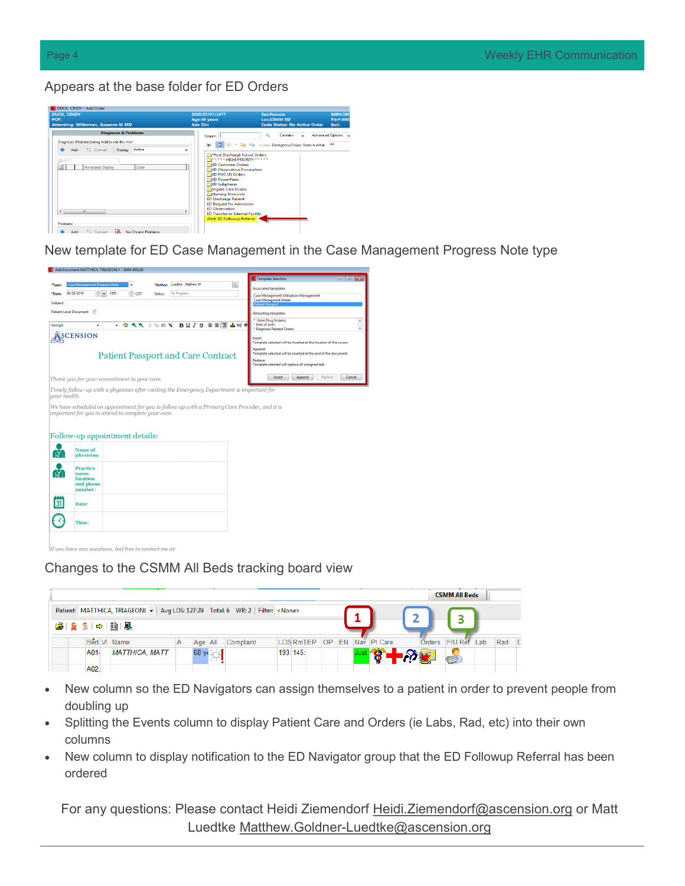### Appears at the base folder for ED Orders

| <b>DUCK. CINDY</b><br>PCP:<br>Attending: Wilkerson, Suzanne M MD                                                                                                    | DOB:07/07/1977<br>Age: 40 years<br><b>Adv Dir:</b>                                                                                                                                                                                                                                                                                                                                                                                                                                                     | <b>Sex:Female</b><br><b>Loc:CSMM ED</b><br><b>Code Status: No Active Order</b> | <b>MRN:SM</b><br>Fin#:000<br>Isol: |
|---------------------------------------------------------------------------------------------------------------------------------------------------------------------|--------------------------------------------------------------------------------------------------------------------------------------------------------------------------------------------------------------------------------------------------------------------------------------------------------------------------------------------------------------------------------------------------------------------------------------------------------------------------------------------------------|--------------------------------------------------------------------------------|------------------------------------|
| <b>Diagnoses &amp; Problems</b><br>Diagnosis (Problem) being Addressed this Visit                                                                                   | Search:                                                                                                                                                                                                                                                                                                                                                                                                                                                                                                | ۹<br>Contains                                                                  | Advanced Options                   |
| Display: Active<br>$\equiv$ Convert<br>Add<br><b>OIMO</b><br>Annotated Display<br>Code<br>m<br>$\epsilon$<br>Problems<br>恳<br>Convert<br>No Chronic Problems<br>Add | <b>The Card Card</b><br>Δ<br>$\triangleq$<br><sup>2</sup> Post Discharge Future Orders<br><b>Replace to A HIGH PRIORITY</b> * * * * *<br><b>ED Common Orders</b><br><b>ED Observation Powerplans</b><br><b>RaED POC US Orders</b><br><b>ED PowerPlans</b><br><b>ED Subphases</b><br>Urgent Care Orders<br>Nursing Protocols<br><b>ED Discharge Patient</b><br><b>ED Request for Admission</b><br><b>ED Observation</b><br>×.<br><b>ED Transfer to External Facility</b><br>Alert: ED Followup Referral | Folder: Emergency Depar. Search within: All                                    |                                    |

New template for ED Case Management in the Case Management Progress Note type



u have any questions, feel free to contact me at:

### Changes to the CSMM All Beds tracking board view

|  |                                          |                                                                                       |   |                 |           |                 |           |  |                |        | <b>CSMM All Beds</b> |     |     |          |
|--|------------------------------------------|---------------------------------------------------------------------------------------|---|-----------------|-----------|-----------------|-----------|--|----------------|--------|----------------------|-----|-----|----------|
|  |                                          | Patient: MATTHICA, TRIAGEONL - Avg LOS: 127:29 Total: 6 WR: 2   Filter: <none></none> |   |                 |           |                 |           |  |                |        |                      |     |     |          |
|  | $\mathbf{B} \mathbf{R}$ and $\mathbf{R}$ |                                                                                       |   |                 |           |                 |           |  |                |        |                      |     |     |          |
|  | Bed VI Name                              |                                                                                       | А | Age All         | Complaint | <b>LOSRmTEP</b> | <b>OP</b> |  | EN Nav Pt Care | Orders | F/U Ref              | Lab | Rad | <b>D</b> |
|  | A01-                                     | <b>MATTHICA, MATT</b>                                                                 |   | $68 \text{ yr}$ |           | 193: 145:       |           |  |                |        |                      |     |     |          |
|  | A02.                                     |                                                                                       |   |                 |           |                 |           |  |                |        |                      |     |     |          |

- New column so the ED Navigators can assign themselves to a patient in order to prevent people from doubling up
- Splitting the Events column to display Patient Care and Orders (ie Labs, Rad, etc) into their own columns
- New column to display notification to the ED Navigator group that the ED Followup Referral has been ordered

For any questions: Please contact Heidi Ziemendorf Heidi. Ziemendorf@ascension.org or Matt Luedtke Matthew.Goldner-[Luedtke@ascension.org](mailto:Matthew.Goldner-Luedtke@ascension.org)